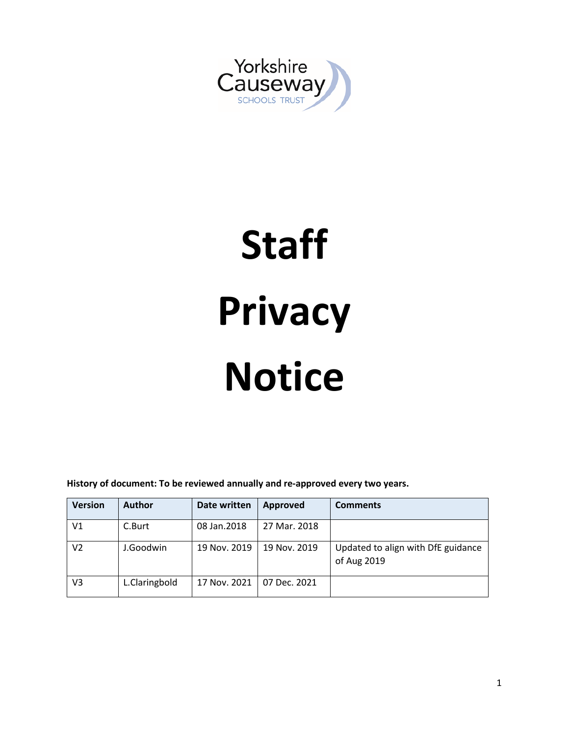

# **Staff Privacy Notice**

**History of document: To be reviewed annually and re-approved every two years.**

| <b>Version</b> | <b>Author</b> | Date written | Approved     | <b>Comments</b>                                   |
|----------------|---------------|--------------|--------------|---------------------------------------------------|
| V1             | C.Burt        | 08 Jan. 2018 | 27 Mar. 2018 |                                                   |
| V2             | J.Goodwin     | 19 Nov. 2019 | 19 Nov. 2019 | Updated to align with DfE guidance<br>of Aug 2019 |
| V3             | L.Claringbold | 17 Nov. 2021 | 07 Dec. 2021 |                                                   |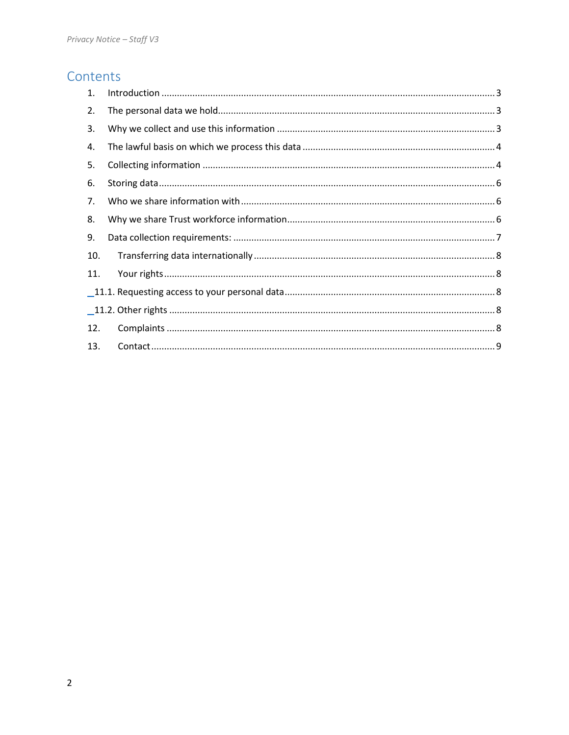# Contents

| 1.  |  |
|-----|--|
| 2.  |  |
| 3.  |  |
| 4.  |  |
| 5.  |  |
| 6.  |  |
| 7.  |  |
| 8.  |  |
| 9.  |  |
| 10. |  |
| 11. |  |
|     |  |
|     |  |
| 12. |  |
| 13. |  |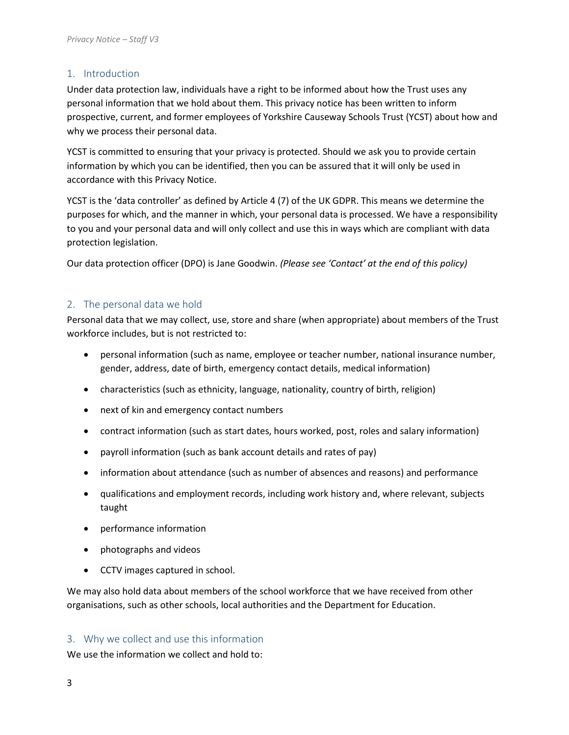# <span id="page-2-0"></span>1. Introduction

Under data protection law, individuals have a right to be informed about how the Trust uses any personal information that we hold about them. This privacy notice has been written to inform prospective, current, and former employees of Yorkshire Causeway Schools Trust (YCST) about how and why we process their personal data.

YCST is committed to ensuring that your privacy is protected. Should we ask you to provide certain information by which you can be identified, then you can be assured that it will only be used in accordance with this Privacy Notice.

YCST is the 'data controller' as defined by Article 4 (7) of the UK GDPR. This means we determine the purposes for which, and the manner in which, your personal data is processed. We have a responsibility to you and your personal data and will only collect and use this in ways which are compliant with data protection legislation.

Our data protection officer (DPO) is Jane Goodwin. *(Please see 'Contact' at the end of this policy)*

# <span id="page-2-1"></span>2. The personal data we hold

Personal data that we may collect, use, store and share (when appropriate) about members of the Trust workforce includes, but is not restricted to:

- personal information (such as name, employee or teacher number, national insurance number, gender, address, date of birth, emergency contact details, medical information)
- characteristics (such as ethnicity, language, nationality, country of birth, religion)
- next of kin and emergency contact numbers
- contract information (such as start dates, hours worked, post, roles and salary information)
- payroll information (such as bank account details and rates of pay)
- information about attendance (such as number of absences and reasons) and performance
- qualifications and employment records, including work history and, where relevant, subjects taught
- performance information
- photographs and videos
- CCTV images captured in school.

We may also hold data about members of the school workforce that we have received from other organisations, such as other schools, local authorities and the Department for Education.

#### <span id="page-2-2"></span>3. Why we collect and use this information

We use the information we collect and hold to: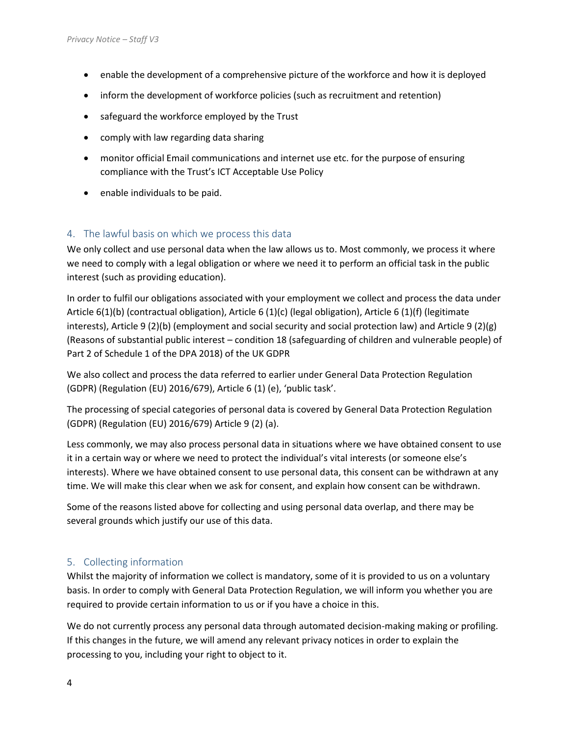- enable the development of a comprehensive picture of the workforce and how it is deployed
- inform the development of workforce policies (such as recruitment and retention)
- safeguard the workforce employed by the Trust
- comply with law regarding data sharing
- monitor official Email communications and internet use etc. for the purpose of ensuring compliance with the Trust's ICT Acceptable Use Policy
- enable individuals to be paid.

# <span id="page-3-0"></span>4. The lawful basis on which we process this data

We only collect and use personal data when the law allows us to. Most commonly, we process it where we need to comply with a legal obligation or where we need it to perform an official task in the public interest (such as providing education).

In order to fulfil our obligations associated with your employment we collect and process the data under Article 6(1)(b) (contractual obligation), Article 6 (1)(c) (legal obligation), Article 6 (1)(f) (legitimate interests), Article 9 (2)(b) (employment and social security and social protection law) and Article 9 (2)(g) (Reasons of substantial public interest – condition 18 (safeguarding of children and vulnerable people) of Part 2 of Schedule 1 of the DPA 2018) of the UK GDPR

We also collect and process the data referred to earlier under General Data Protection Regulation (GDPR) (Regulation (EU) 2016/679), Article 6 (1) (e), 'public task'.

The processing of special categories of personal data is covered by General Data Protection Regulation (GDPR) (Regulation (EU) 2016/679) Article 9 (2) (a).

Less commonly, we may also process personal data in situations where we have obtained consent to use it in a certain way or where we need to protect the individual's vital interests (or someone else's interests). Where we have obtained consent to use personal data, this consent can be withdrawn at any time. We will make this clear when we ask for consent, and explain how consent can be withdrawn.

Some of the reasons listed above for collecting and using personal data overlap, and there may be several grounds which justify our use of this data.

# <span id="page-3-1"></span>5. Collecting information

Whilst the majority of information we collect is mandatory, some of it is provided to us on a voluntary basis. In order to comply with General Data Protection Regulation, we will inform you whether you are required to provide certain information to us or if you have a choice in this.

We do not currently process any personal data through automated decision-making making or profiling. If this changes in the future, we will amend any relevant privacy notices in order to explain the processing to you, including your right to object to it.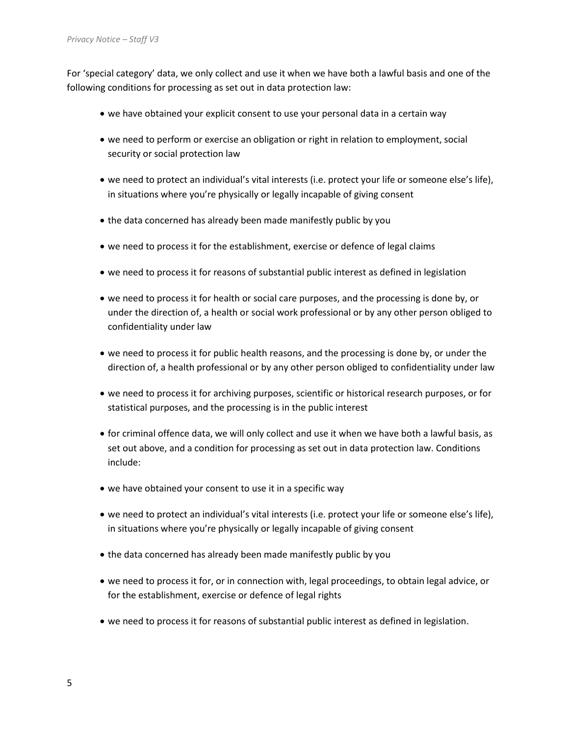For 'special category' data, we only collect and use it when we have both a lawful basis and one of the following conditions for processing as set out in data protection law:

- we have obtained your explicit consent to use your personal data in a certain way
- we need to perform or exercise an obligation or right in relation to employment, social security or social protection law
- we need to protect an individual's vital interests (i.e. protect your life or someone else's life), in situations where you're physically or legally incapable of giving consent
- the data concerned has already been made manifestly public by you
- we need to process it for the establishment, exercise or defence of legal claims
- we need to process it for reasons of substantial public interest as defined in legislation
- we need to process it for health or social care purposes, and the processing is done by, or under the direction of, a health or social work professional or by any other person obliged to confidentiality under law
- we need to process it for public health reasons, and the processing is done by, or under the direction of, a health professional or by any other person obliged to confidentiality under law
- we need to process it for archiving purposes, scientific or historical research purposes, or for statistical purposes, and the processing is in the public interest
- for criminal offence data, we will only collect and use it when we have both a lawful basis, as set out above, and a condition for processing as set out in data protection law. Conditions include:
- we have obtained your consent to use it in a specific way
- we need to protect an individual's vital interests (i.e. protect your life or someone else's life), in situations where you're physically or legally incapable of giving consent
- the data concerned has already been made manifestly public by you
- we need to process it for, or in connection with, legal proceedings, to obtain legal advice, or for the establishment, exercise or defence of legal rights
- we need to process it for reasons of substantial public interest as defined in legislation.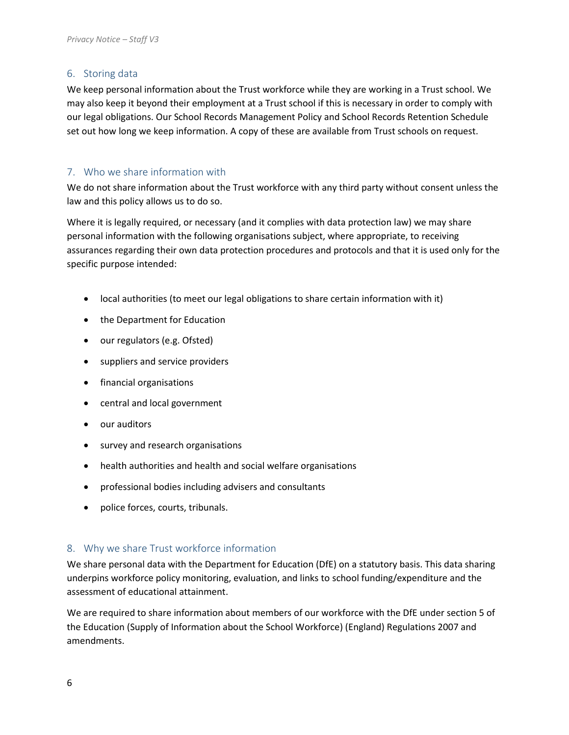# <span id="page-5-0"></span>6. Storing data

We keep personal information about the Trust workforce while they are working in a Trust school. We may also keep it beyond their employment at a Trust school if this is necessary in order to comply with our legal obligations. Our School Records Management Policy and School Records Retention Schedule set out how long we keep information. A copy of these are available from Trust schools on request.

# <span id="page-5-1"></span>7. Who we share information with

We do not share information about the Trust workforce with any third party without consent unless the law and this policy allows us to do so.

Where it is legally required, or necessary (and it complies with data protection law) we may share personal information with the following organisations subject, where appropriate, to receiving assurances regarding their own data protection procedures and protocols and that it is used only for the specific purpose intended:

- local authorities (to meet our legal obligations to share certain information with it)
- the Department for Education
- our regulators (e.g. Ofsted)
- suppliers and service providers
- financial organisations
- central and local government
- our auditors
- survey and research organisations
- health authorities and health and social welfare organisations
- professional bodies including advisers and consultants
- police forces, courts, tribunals.

#### <span id="page-5-2"></span>8. Why we share Trust workforce information

We share personal data with the Department for Education (DfE) on a statutory basis. This data sharing underpins workforce policy monitoring, evaluation, and links to school funding/expenditure and the assessment of educational attainment.

We are required to share information about members of our workforce with the DfE under section 5 of the Education (Supply of Information about the School Workforce) (England) Regulations 2007 and amendments.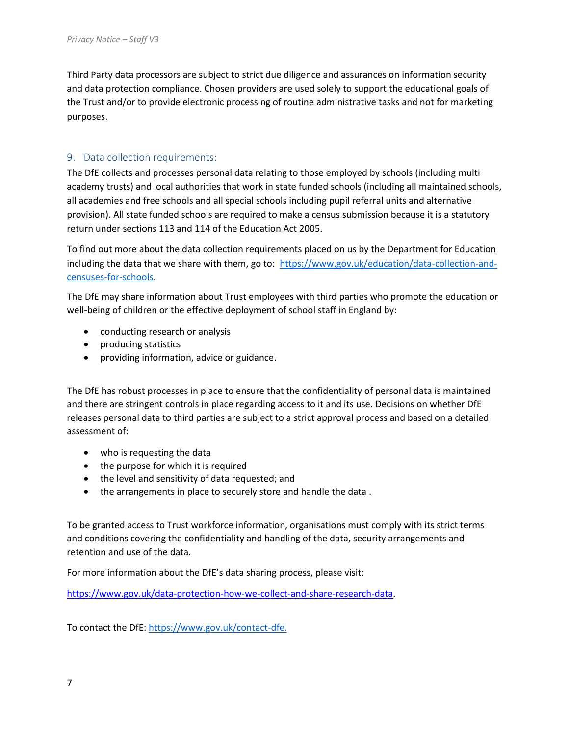Third Party data processors are subject to strict due diligence and assurances on information security and data protection compliance. Chosen providers are used solely to support the educational goals of the Trust and/or to provide electronic processing of routine administrative tasks and not for marketing purposes.

#### <span id="page-6-0"></span>9. Data collection requirements:

The DfE collects and processes personal data relating to those employed by schools (including multi academy trusts) and local authorities that work in state funded schools (including all maintained schools, all academies and free schools and all special schools including pupil referral units and alternative provision). All state funded schools are required to make a census submission because it is a statutory return under sections 113 and 114 of the Education Act 2005.

To find out more about the data collection requirements placed on us by the Department for Education including the data that we share with them, go to: [https://www.gov.uk/education/data-collection-and](https://www.gov.uk/education/data-collection-and-censuses-for-schools)[censuses-for-schools.](https://www.gov.uk/education/data-collection-and-censuses-for-schools)

The DfE may share information about Trust employees with third parties who promote the education or well-being of children or the effective deployment of school staff in England by:

- conducting research or analysis
- producing statistics
- providing information, advice or guidance.

The DfE has robust processes in place to ensure that the confidentiality of personal data is maintained and there are stringent controls in place regarding access to it and its use. Decisions on whether DfE releases personal data to third parties are subject to a strict approval process and based on a detailed assessment of:

- who is requesting the data
- the purpose for which it is required
- the level and sensitivity of data requested; and
- the arrangements in place to securely store and handle the data .

To be granted access to Trust workforce information, organisations must comply with its strict terms and conditions covering the confidentiality and handling of the data, security arrangements and retention and use of the data.

For more information about the DfE's data sharing process, please visit:

[https://www.gov.uk/data-protection-how-we-collect-and-share-research-data.](https://www.gov.uk/data-protection-how-we-collect-and-share-research-data)

To contact the DfE: [https://www.gov.uk/contact-dfe.](https://www.gov.uk/contact-dfe)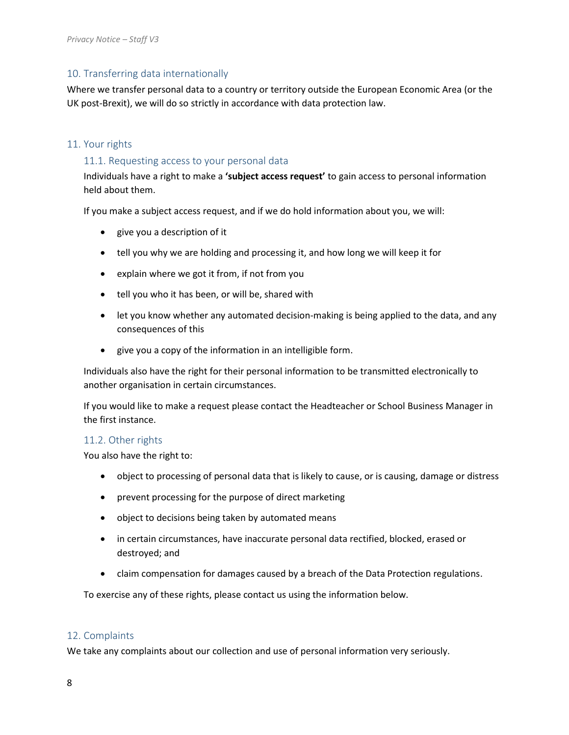# <span id="page-7-0"></span>10. Transferring data internationally

Where we transfer personal data to a country or territory outside the European Economic Area (or the UK post-Brexit), we will do so strictly in accordance with data protection law.

#### <span id="page-7-1"></span>11. Your rights

#### <span id="page-7-2"></span>11.1. Requesting access to your personal data

Individuals have a right to make a **'subject access request'** to gain access to personal information held about them.

If you make a subject access request, and if we do hold information about you, we will:

- give you a description of it
- tell you why we are holding and processing it, and how long we will keep it for
- explain where we got it from, if not from you
- tell you who it has been, or will be, shared with
- let you know whether any automated decision-making is being applied to the data, and any consequences of this
- give you a copy of the information in an intelligible form.

Individuals also have the right for their personal information to be transmitted electronically to another organisation in certain circumstances.

If you would like to make a request please contact the Headteacher or School Business Manager in the first instance.

#### <span id="page-7-3"></span>11.2. Other rights

You also have the right to:

- object to processing of personal data that is likely to cause, or is causing, damage or distress
- prevent processing for the purpose of direct marketing
- object to decisions being taken by automated means
- in certain circumstances, have inaccurate personal data rectified, blocked, erased or destroyed; and
- claim compensation for damages caused by a breach of the Data Protection regulations.

To exercise any of these rights, please contact us using the information below.

#### <span id="page-7-4"></span>12. Complaints

We take any complaints about our collection and use of personal information very seriously.